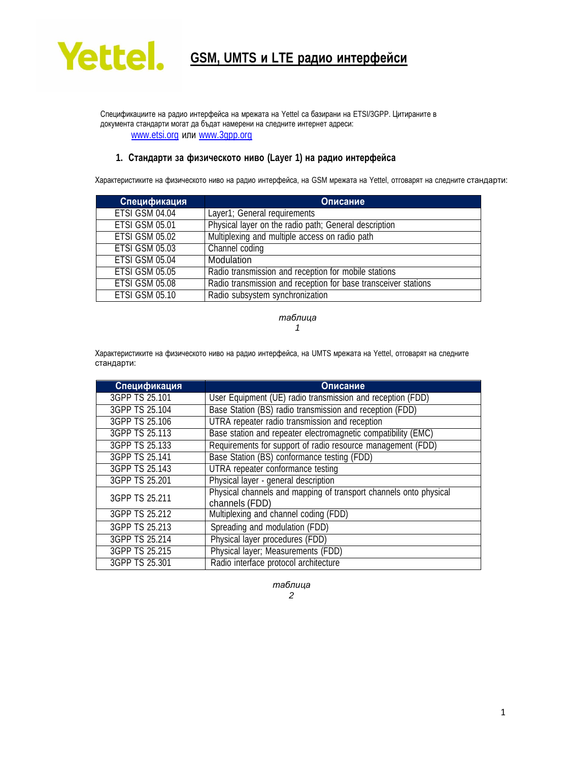

Спецификациите на радио интерфейса на мрежата на Yettel са базирани на ETSI/3GPP. Цитираните в документа стандарти могат да бъдат намерени на следните интернет адреси: [www.etsi.org](http://www.etsi.org/) или [www.3gpp.org](http://www.3gpp.org/)

### **1. Стандарти за физическото ниво (Layer 1) на радио интерфейса**

Характеристиките на физическото ниво на радио интерфейса, на GSM мрежата на Yettel, отговарят на следните стандарти:

| Спецификация          | Описание                                                       |
|-----------------------|----------------------------------------------------------------|
| ETSI GSM 04.04        | Layer1; General requirements                                   |
| <b>ETSI GSM 05.01</b> | Physical layer on the radio path; General description          |
| <b>ETSI GSM 05.02</b> | Multiplexing and multiple access on radio path                 |
| <b>ETSI GSM 05.03</b> | Channel coding                                                 |
| ETSI GSM 05.04        | Modulation                                                     |
| <b>ETSI GSM 05.05</b> | Radio transmission and reception for mobile stations           |
| <b>ETSI GSM 05.08</b> | Radio transmission and reception for base transceiver stations |
| <b>ETSI GSM 05.10</b> | Radio subsystem synchronization                                |

*таблица 1*

Характеристиките на физическото ниво на радио интерфейса, на UMTS мрежата на Yettel, отговарят на следните стандарти:

| Спецификация   | Описание                                                                            |
|----------------|-------------------------------------------------------------------------------------|
| 3GPP TS 25.101 | User Equipment (UE) radio transmission and reception (FDD)                          |
| 3GPP TS 25.104 | Base Station (BS) radio transmission and reception (FDD)                            |
| 3GPP TS 25.106 | UTRA repeater radio transmission and reception                                      |
| 3GPP TS 25.113 | Base station and repeater electromagnetic compatibility (EMC)                       |
| 3GPP TS 25.133 | Requirements for support of radio resource management (FDD)                         |
| 3GPP TS 25.141 | Base Station (BS) conformance testing (FDD)                                         |
| 3GPP TS 25.143 | UTRA repeater conformance testing                                                   |
| 3GPP TS 25.201 | Physical layer - general description                                                |
| 3GPP TS 25.211 | Physical channels and mapping of transport channels onto physical<br>channels (FDD) |
| 3GPP TS 25.212 | Multiplexing and channel coding (FDD)                                               |
| 3GPP TS 25.213 | Spreading and modulation (FDD)                                                      |
| 3GPP TS 25.214 | Physical layer procedures (FDD)                                                     |
| 3GPP TS 25.215 | Physical layer; Measurements (FDD)                                                  |
| 3GPP TS 25.301 | Radio interface protocol architecture                                               |

*таблица 2*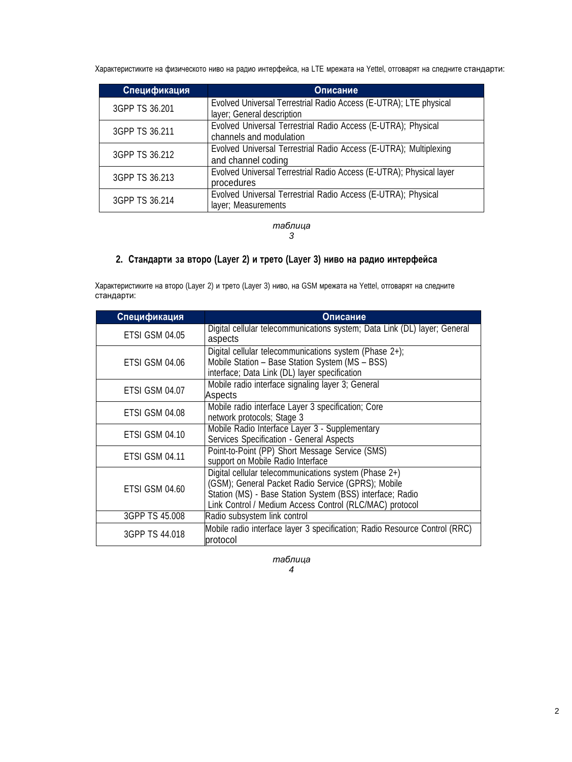Характеристиките на физическото ниво на радио интерфейса, на LTE мрежата на Yettel, отговарят на следните стандарти:

| Спецификация   | Описание                                                                                        |
|----------------|-------------------------------------------------------------------------------------------------|
| 3GPP TS 36.201 | Evolved Universal Terrestrial Radio Access (E-UTRA); LTE physical<br>layer; General description |
| 3GPP TS 36.211 | Evolved Universal Terrestrial Radio Access (E-UTRA); Physical<br>channels and modulation        |
| 3GPP TS 36.212 | Evolved Universal Terrestrial Radio Access (E-UTRA); Multiplexing<br>and channel coding         |
| 3GPP TS 36.213 | Evolved Universal Terrestrial Radio Access (E-UTRA); Physical layer<br>procedures               |
| 3GPP TS 36.214 | Evolved Universal Terrestrial Radio Access (E-UTRA); Physical<br>layer; Measurements            |

*таблица 3*

## **2. Стандарти за второ (Layer 2) и трето (Layer 3) ниво на радио интерфейса**

Характеристиките на второ (Layer 2) и трето (Layer 3) ниво, на GSM мрежата на Yettel, отговарят на следните стандарти:

| Спецификация          | Описание                                                                                                                                                                                                                            |
|-----------------------|-------------------------------------------------------------------------------------------------------------------------------------------------------------------------------------------------------------------------------------|
| <b>ETSI GSM 04.05</b> | Digital cellular telecommunications system; Data Link (DL) layer; General<br>aspects                                                                                                                                                |
| ETSI GSM 04.06        | Digital cellular telecommunications system (Phase 2+);<br>Mobile Station - Base Station System (MS - BSS)<br>interface; Data Link (DL) layer specification                                                                          |
| ETSI GSM 04.07        | Mobile radio interface signaling layer 3; General<br>Aspects                                                                                                                                                                        |
| ETSI GSM 04.08        | Mobile radio interface Layer 3 specification; Core<br>network protocols; Stage 3                                                                                                                                                    |
| ETSI GSM 04.10        | Mobile Radio Interface Layer 3 - Supplementary<br>Services Specification - General Aspects                                                                                                                                          |
| <b>ETSI GSM 04.11</b> | Point-to-Point (PP) Short Message Service (SMS)<br>support on Mobile Radio Interface                                                                                                                                                |
| ETSI GSM 04.60        | Digital cellular telecommunications system (Phase 2+)<br>(GSM); General Packet Radio Service (GPRS); Mobile<br>Station (MS) - Base Station System (BSS) interface; Radio<br>Link Control / Medium Access Control (RLC/MAC) protocol |
| 3GPP TS 45.008        | Radio subsystem link control                                                                                                                                                                                                        |
| 3GPP TS 44,018        | Mobile radio interface layer 3 specification; Radio Resource Control (RRC)<br>protocol                                                                                                                                              |

*таблица 4*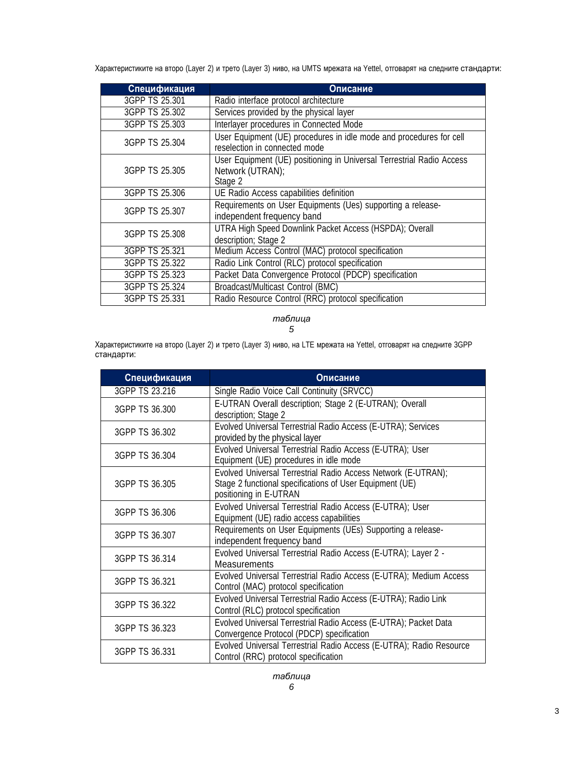Характеристиките на второ (Layer 2) и трето (Layer 3) ниво, на UMTS мрежата на Yettel, отговарят на следните стандарти:

| Спецификация   | Описание                                                                                             |
|----------------|------------------------------------------------------------------------------------------------------|
| 3GPP TS 25.301 | Radio interface protocol architecture                                                                |
| 3GPP TS 25.302 | Services provided by the physical layer                                                              |
| 3GPP TS 25.303 | Interlayer procedures in Connected Mode                                                              |
| 3GPP TS 25.304 | User Equipment (UE) procedures in idle mode and procedures for cell<br>reselection in connected mode |
| 3GPP TS 25,305 | User Equipment (UE) positioning in Universal Terrestrial Radio Access<br>Network (UTRAN);<br>Stage 2 |
| 3GPP TS 25.306 | UE Radio Access capabilities definition                                                              |
| 3GPP TS 25.307 | Requirements on User Equipments (Ues) supporting a release-<br>independent frequency band            |
| 3GPP TS 25.308 | UTRA High Speed Downlink Packet Access (HSPDA); Overall<br>description; Stage 2                      |
| 3GPP TS 25.321 | Medium Access Control (MAC) protocol specification                                                   |
| 3GPP TS 25.322 | Radio Link Control (RLC) protocol specification                                                      |
| 3GPP TS 25.323 | Packet Data Convergence Protocol (PDCP) specification                                                |
| 3GPP TS 25.324 | Broadcast/Multicast Control (BMC)                                                                    |
| 3GPP TS 25.331 | Radio Resource Control (RRC) protocol specification                                                  |

*таблица*

*5*

Характеристиките на второ (Layer 2) и трето (Layer 3) ниво, на LTE мрежата на Yettel, отговарят на следните 3GPP стандарти:

| Спецификация   | Описание                                                                                                                                            |
|----------------|-----------------------------------------------------------------------------------------------------------------------------------------------------|
| 3GPP TS 23.216 | Single Radio Voice Call Continuity (SRVCC)                                                                                                          |
| 3GPP TS 36.300 | E-UTRAN Overall description; Stage 2 (E-UTRAN); Overall<br>description; Stage 2                                                                     |
| 3GPP TS 36,302 | Evolved Universal Terrestrial Radio Access (E-UTRA); Services<br>provided by the physical layer                                                     |
| 3GPP TS 36.304 | Evolved Universal Terrestrial Radio Access (E-UTRA); User<br>Equipment (UE) procedures in idle mode                                                 |
| 3GPP TS 36.305 | Evolved Universal Terrestrial Radio Access Network (E-UTRAN);<br>Stage 2 functional specifications of User Equipment (UE)<br>positioning in E-UTRAN |
| 3GPP TS 36.306 | Evolved Universal Terrestrial Radio Access (E-UTRA); User<br>Equipment (UE) radio access capabilities                                               |
| 3GPP TS 36,307 | Requirements on User Equipments (UEs) Supporting a release-<br>independent frequency band                                                           |
| 3GPP TS 36.314 | Evolved Universal Terrestrial Radio Access (E-UTRA); Layer 2 -<br>Measurements                                                                      |
| 3GPP TS 36.321 | Evolved Universal Terrestrial Radio Access (E-UTRA); Medium Access<br>Control (MAC) protocol specification                                          |
| 3GPP TS 36,322 | Evolved Universal Terrestrial Radio Access (E-UTRA); Radio Link<br>Control (RLC) protocol specification                                             |
| 3GPP TS 36,323 | Evolved Universal Terrestrial Radio Access (E-UTRA); Packet Data<br>Convergence Protocol (PDCP) specification                                       |
| 3GPP TS 36.331 | Evolved Universal Terrestrial Radio Access (E-UTRA); Radio Resource<br>Control (RRC) protocol specification                                         |